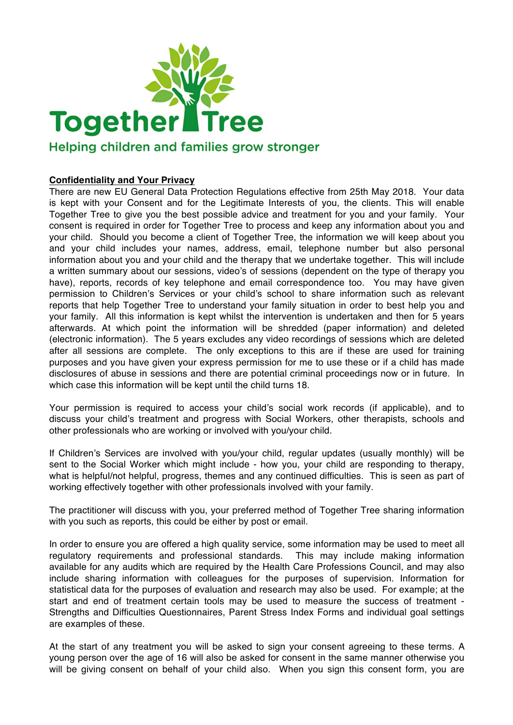

## Helping children and families grow stronger

## **Confidentiality and Your Privacy**

There are new EU General Data Protection Regulations effective from 25th May 2018. Your data is kept with your Consent and for the Legitimate Interests of you, the clients. This will enable Together Tree to give you the best possible advice and treatment for you and your family. Your consent is required in order for Together Tree to process and keep any information about you and your child. Should you become a client of Together Tree, the information we will keep about you and your child includes your names, address, email, telephone number but also personal information about you and your child and the therapy that we undertake together. This will include a written summary about our sessions, video's of sessions (dependent on the type of therapy you have), reports, records of key telephone and email correspondence too. You may have given permission to Children's Services or your child's school to share information such as relevant reports that help Together Tree to understand your family situation in order to best help you and your family. All this information is kept whilst the intervention is undertaken and then for 5 years afterwards. At which point the information will be shredded (paper information) and deleted (electronic information). The 5 years excludes any video recordings of sessions which are deleted after all sessions are complete. The only exceptions to this are if these are used for training purposes and you have given your express permission for me to use these or if a child has made disclosures of abuse in sessions and there are potential criminal proceedings now or in future. In which case this information will be kept until the child turns 18.

Your permission is required to access your child's social work records (if applicable), and to discuss your child's treatment and progress with Social Workers, other therapists, schools and other professionals who are working or involved with you/your child.

If Children's Services are involved with you/your child, regular updates (usually monthly) will be sent to the Social Worker which might include - how you, your child are responding to therapy, what is helpful/not helpful, progress, themes and any continued difficulties. This is seen as part of working effectively together with other professionals involved with your family.

The practitioner will discuss with you, your preferred method of Together Tree sharing information with you such as reports, this could be either by post or email.

In order to ensure you are offered a high quality service, some information may be used to meet all regulatory requirements and professional standards. This may include making information available for any audits which are required by the Health Care Professions Council, and may also include sharing information with colleagues for the purposes of supervision. Information for statistical data for the purposes of evaluation and research may also be used. For example; at the start and end of treatment certain tools may be used to measure the success of treatment - Strengths and Difficulties Questionnaires, Parent Stress Index Forms and individual goal settings are examples of these.

At the start of any treatment you will be asked to sign your consent agreeing to these terms. A young person over the age of 16 will also be asked for consent in the same manner otherwise you will be giving consent on behalf of your child also. When you sign this consent form, you are